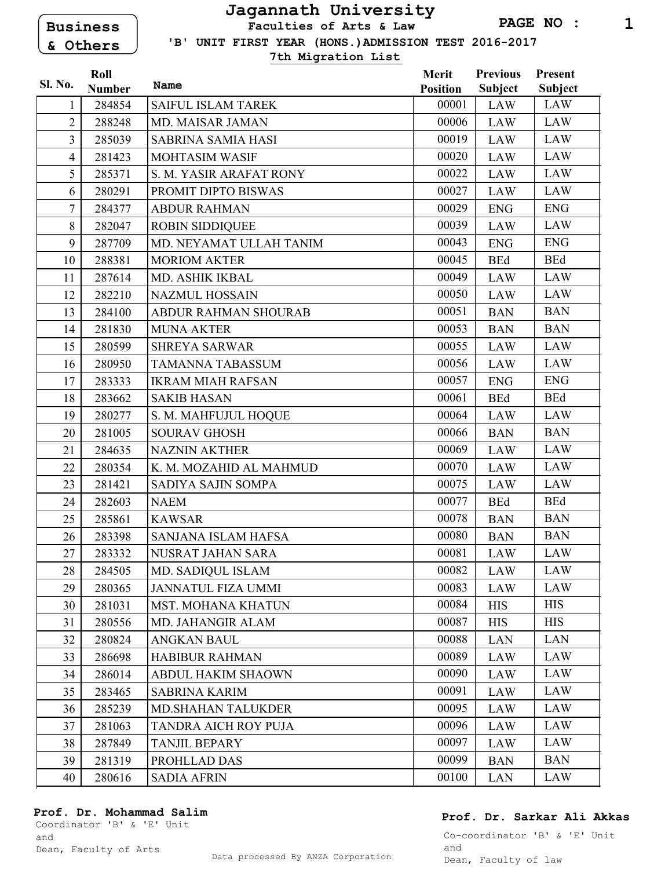**Business & Others** 

# **Jagannath University Faculties of Arts & Law**

**PAGE NO : 1**

 **'B' UNIT FIRST YEAR (HONS.)ADMISSION TEST 2016-2017**

**7th Migration List**

| Sl. No.        | Roll          | Name                      | Merit           | <b>Previous</b> | <b>Present</b> |
|----------------|---------------|---------------------------|-----------------|-----------------|----------------|
|                | <b>Number</b> |                           | <b>Position</b> | <b>Subject</b>  | Subject        |
| 1              | 284854        | <b>SAIFUL ISLAM TAREK</b> | 00001           | <b>LAW</b>      | <b>LAW</b>     |
| $\overline{2}$ | 288248        | MD. MAISAR JAMAN          | 00006           | <b>LAW</b>      | <b>LAW</b>     |
| $\overline{3}$ | 285039        | <b>SABRINA SAMIA HASI</b> | 00019           | <b>LAW</b>      | <b>LAW</b>     |
| $\overline{4}$ | 281423        | <b>MOHTASIM WASIF</b>     | 00020           | <b>LAW</b>      | LAW            |
| 5              | 285371        | S. M. YASIR ARAFAT RONY   | 00022           | <b>LAW</b>      | LAW            |
| 6              | 280291        | PROMIT DIPTO BISWAS       | 00027           | <b>LAW</b>      | <b>LAW</b>     |
| $\overline{7}$ | 284377        | <b>ABDUR RAHMAN</b>       | 00029           | <b>ENG</b>      | <b>ENG</b>     |
| 8              | 282047        | <b>ROBIN SIDDIQUEE</b>    | 00039           | <b>LAW</b>      | <b>LAW</b>     |
| 9              | 287709        | MD. NEYAMAT ULLAH TANIM   | 00043           | <b>ENG</b>      | <b>ENG</b>     |
| 10             | 288381        | <b>MORIOM AKTER</b>       | 00045           | <b>BEd</b>      | <b>BEd</b>     |
| 11             | 287614        | MD. ASHIK IKBAL           | 00049           | LAW             | <b>LAW</b>     |
| 12             | 282210        | <b>NAZMUL HOSSAIN</b>     | 00050           | <b>LAW</b>      | <b>LAW</b>     |
| 13             | 284100        | ABDUR RAHMAN SHOURAB      | 00051           | <b>BAN</b>      | <b>BAN</b>     |
| 14             | 281830        | <b>MUNA AKTER</b>         | 00053           | <b>BAN</b>      | <b>BAN</b>     |
| 15             | 280599        | <b>SHREYA SARWAR</b>      | 00055           | <b>LAW</b>      | <b>LAW</b>     |
| 16             | 280950        | <b>TAMANNA TABASSUM</b>   | 00056           | <b>LAW</b>      | LAW            |
| 17             | 283333        | <b>IKRAM MIAH RAFSAN</b>  | 00057           | <b>ENG</b>      | <b>ENG</b>     |
| 18             | 283662        | <b>SAKIB HASAN</b>        | 00061           | <b>BEd</b>      | <b>BEd</b>     |
| 19             | 280277        | S. M. MAHFUJUL HOQUE      | 00064           | <b>LAW</b>      | <b>LAW</b>     |
| 20             | 281005        | <b>SOURAV GHOSH</b>       | 00066           | <b>BAN</b>      | <b>BAN</b>     |
| 21             | 284635        | <b>NAZNIN AKTHER</b>      | 00069           | <b>LAW</b>      | <b>LAW</b>     |
| 22             | 280354        | K. M. MOZAHID AL MAHMUD   | 00070           | <b>LAW</b>      | LAW            |
| 23             | 281421        | SADIYA SAJIN SOMPA        | 00075           | <b>LAW</b>      | <b>LAW</b>     |
| 24             | 282603        | <b>NAEM</b>               | 00077           | <b>BEd</b>      | <b>BEd</b>     |
| 25             | 285861        | <b>KAWSAR</b>             | 00078           | <b>BAN</b>      | <b>BAN</b>     |
| 26             | 283398        | SANJANA ISLAM HAFSA       | 00080           | <b>BAN</b>      | <b>BAN</b>     |
| 27             | 283332        | NUSRAT JAHAN SARA         | 00081           | LAW             | LAW            |
| 28             | 284505        | MD. SADIQUL ISLAM         | 00082           | <b>LAW</b>      | LAW            |
| 29             | 280365        | <b>JANNATUL FIZA UMMI</b> | 00083           | LAW             | LAW            |
| 30             | 281031        | <b>MST. MOHANA KHATUN</b> | 00084           | <b>HIS</b>      | <b>HIS</b>     |
| 31             | 280556        | MD. JAHANGIR ALAM         | 00087           | <b>HIS</b>      | <b>HIS</b>     |
| 32             | 280824        | <b>ANGKAN BAUL</b>        | 00088           | <b>LAN</b>      | <b>LAN</b>     |
| 33             | 286698        | <b>HABIBUR RAHMAN</b>     | 00089           | <b>LAW</b>      | <b>LAW</b>     |
| 34             | 286014        | <b>ABDUL HAKIM SHAOWN</b> | 00090           | LAW             | LAW            |
| 35             | 283465        | <b>SABRINA KARIM</b>      | 00091           | <b>LAW</b>      | <b>LAW</b>     |
| 36             | 285239        | <b>MD.SHAHAN TALUKDER</b> | 00095           | <b>LAW</b>      | <b>LAW</b>     |
| 37             | 281063        | TANDRA AICH ROY PUJA      | 00096           | LAW             | LAW            |
| 38             | 287849        | <b>TANJIL BEPARY</b>      | 00097           | LAW             | LAW            |
| 39             | 281319        | PROHLLAD DAS              | 00099           | <b>BAN</b>      | <b>BAN</b>     |
| 40             | 280616        | <b>SADIA AFRIN</b>        | 00100           | LAN             | LAW            |

#### **Prof. Dr. Mohammad Salim**

Coordinator 'B' & 'E' Unit and Dean, Faculty of Arts

#### **Prof. Dr. Sarkar Ali Akkas**

Co-coordinator 'B' & 'E' Unit and Dean, Faculty of law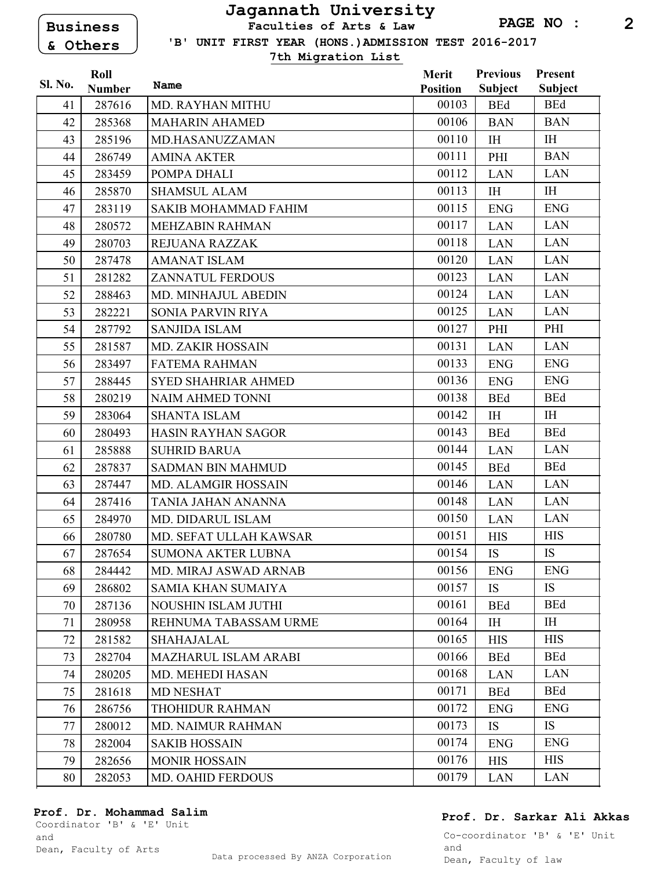**Business & Others** 

# **Jagannath University Faculties of Arts & Law**

 **'B' UNIT FIRST YEAR (HONS.)ADMISSION TEST 2016-2017**

**7th Migration List**

|                | Roll          |                             | <b>Merit</b>    | <b>Previous</b> | Present        |
|----------------|---------------|-----------------------------|-----------------|-----------------|----------------|
| <b>Sl. No.</b> | <b>Number</b> | Name                        | <b>Position</b> | <b>Subject</b>  | <b>Subject</b> |
| 41             | 287616        | MD. RAYHAN MITHU            | 00103           | <b>BEd</b>      | <b>BEd</b>     |
| 42             | 285368        | <b>MAHARIN AHAMED</b>       | 00106           | <b>BAN</b>      | <b>BAN</b>     |
| 43             | 285196        | MD.HASANUZZAMAN             | 00110           | <b>IH</b>       | <b>IH</b>      |
| 44             | 286749        | <b>AMINA AKTER</b>          | 00111           | PHI             | <b>BAN</b>     |
| 45             | 283459        | POMPA DHALI                 | 00112           | LAN             | <b>LAN</b>     |
| 46             | 285870        | <b>SHAMSUL ALAM</b>         | 00113           | <b>IH</b>       | <b>IH</b>      |
| 47             | 283119        | <b>SAKIB MOHAMMAD FAHIM</b> | 00115           | <b>ENG</b>      | <b>ENG</b>     |
| 48             | 280572        | <b>MEHZABIN RAHMAN</b>      | 00117           | <b>LAN</b>      | <b>LAN</b>     |
| 49             | 280703        | REJUANA RAZZAK              | 00118           | <b>LAN</b>      | <b>LAN</b>     |
| 50             | 287478        | <b>AMANAT ISLAM</b>         | 00120           | <b>LAN</b>      | <b>LAN</b>     |
| 51             | 281282        | <b>ZANNATUL FERDOUS</b>     | 00123           | <b>LAN</b>      | <b>LAN</b>     |
| 52             | 288463        | MD. MINHAJUL ABEDIN         | 00124           | <b>LAN</b>      | <b>LAN</b>     |
| 53             | 282221        | <b>SONIA PARVIN RIYA</b>    | 00125           | <b>LAN</b>      | <b>LAN</b>     |
| 54             | 287792        | <b>SANJIDA ISLAM</b>        | 00127           | PHI             | PHI            |
| 55             | 281587        | <b>MD. ZAKIR HOSSAIN</b>    | 00131           | <b>LAN</b>      | <b>LAN</b>     |
| 56             | 283497        | <b>FATEMA RAHMAN</b>        | 00133           | <b>ENG</b>      | <b>ENG</b>     |
| 57             | 288445        | <b>SYED SHAHRIAR AHMED</b>  | 00136           | <b>ENG</b>      | <b>ENG</b>     |
| 58             | 280219        | <b>NAIM AHMED TONNI</b>     | 00138           | <b>BEd</b>      | <b>BEd</b>     |
| 59             | 283064        | <b>SHANTA ISLAM</b>         | 00142           | <b>IH</b>       | <b>IH</b>      |
| 60             | 280493        | <b>HASIN RAYHAN SAGOR</b>   | 00143           | <b>BEd</b>      | <b>BEd</b>     |
| 61             | 285888        | <b>SUHRID BARUA</b>         | 00144           | <b>LAN</b>      | <b>LAN</b>     |
| 62             | 287837        | <b>SADMAN BIN MAHMUD</b>    | 00145           | <b>BEd</b>      | <b>BEd</b>     |
| 63             | 287447        | MD. ALAMGIR HOSSAIN         | 00146           | <b>LAN</b>      | LAN            |
| 64             | 287416        | TANIA JAHAN ANANNA          | 00148           | <b>LAN</b>      | <b>LAN</b>     |
| 65             | 284970        | MD. DIDARUL ISLAM           | 00150           | <b>LAN</b>      | <b>LAN</b>     |
| 66             | 280780        | MD. SEFAT ULLAH KAWSAR      | 00151           | <b>HIS</b>      | <b>HIS</b>     |
| 67             | 287654        | <b>SUMONA AKTER LUBNA</b>   | 00154           | IS              | <b>IS</b>      |
| 68             | 284442        | MD. MIRAJ ASWAD ARNAB       | 00156           | <b>ENG</b>      | <b>ENG</b>     |
| 69             | 286802        | <b>SAMIA KHAN SUMAIYA</b>   | 00157           | IS              | IS             |
| 70             | 287136        | NOUSHIN ISLAM JUTHI         | 00161           | <b>BEd</b>      | <b>BEd</b>     |
| 71             | 280958        | REHNUMA TABASSAM URME       | 00164           | IH              | IH             |
| 72             | 281582        | SHAHAJALAL                  | 00165           | <b>HIS</b>      | <b>HIS</b>     |
| 73             | 282704        | <b>MAZHARUL ISLAM ARABI</b> | 00166           | <b>BEd</b>      | <b>BEd</b>     |
| 74             | 280205        | MD. MEHEDI HASAN            | 00168           | LAN             | <b>LAN</b>     |
| 75             | 281618        | <b>MD NESHAT</b>            | 00171           | <b>BEd</b>      | <b>BEd</b>     |
| 76             | 286756        | THOHIDUR RAHMAN             | 00172           | <b>ENG</b>      | <b>ENG</b>     |
| 77             | 280012        | <b>MD. NAIMUR RAHMAN</b>    | 00173           | <b>IS</b>       | <b>IS</b>      |
| 78             | 282004        | <b>SAKIB HOSSAIN</b>        | 00174           | <b>ENG</b>      | <b>ENG</b>     |
| 79             | 282656        | <b>MONIR HOSSAIN</b>        | 00176           | <b>HIS</b>      | <b>HIS</b>     |
| 80             | 282053        | MD. OAHID FERDOUS           | 00179           | <b>LAN</b>      | LAN            |

#### **Prof. Dr. Mohammad Salim**

Coordinator 'B' & 'E' Unit and

### **Prof. Dr. Sarkar Ali Akkas**

Co-coordinator 'B' & 'E' Unit and Dean, Faculty of law